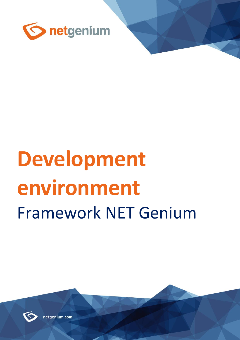

# **Development environment** Framework NET Genium



netgenium.com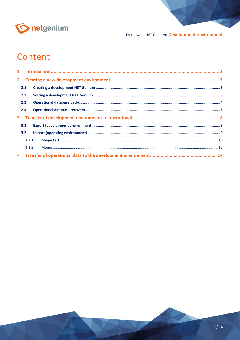

# Content

| 2.1   |  |  |
|-------|--|--|
| 2.2   |  |  |
| 2.3   |  |  |
| 2.4   |  |  |
|       |  |  |
| 3.1   |  |  |
| 3.2   |  |  |
| 3.2.1 |  |  |
| 3.2.2 |  |  |
|       |  |  |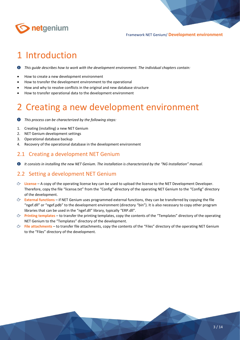

# <span id="page-2-0"></span>1 Introduction

*This guide describes how to work with the development environment. The individual chapters contain:*

- How to create a new development environment
- How to transfer the development environment to the operational
- How and why to resolve conflicts in the original and new database structure
- How to transfer operational data to the development environment

# <span id="page-2-1"></span>2 Creating a new development environment

- *This process can be characterized by the following steps:* O
- 1. Creating (installing) a new NET Genium
- 2. NET Genium development settings
- 3. Operational database backup
- 4. Recovery of the operational database in the development environment

## <span id="page-2-2"></span>2.1 Creating a development NET Genium

*It consists in installing the new NET Genium. The installation is characterized by the "NG Installation" manual.*

## <span id="page-2-3"></span>2.2 Setting a development NET Genium

- **License** A copy of the operating license key can be used to upload the license to the NET Development Developer. Therefore, copy the file "license.txt" from the "Config" directory of the operating NET Genium to the "Config" directory of the development.
- **External functions** if NET Genium uses programmed external functions, they can be transferred by copying the file "ngef.dll" or "ngef.pdb" to the development environment (directory "bin"). It is also necessary to copy other program libraries that can be used in the "ngef.dll" library, typically "ERP.dll".
- **Printing templates** to transfer the printing templates, copy the contents of the "Templates" directory of the operating NET Genium to the "Templates" directory of the development.
- **File attachments** to transfer file attachments, copy the contents of the "Files" directory of the operating NET Genium to the "Files" directory of the development.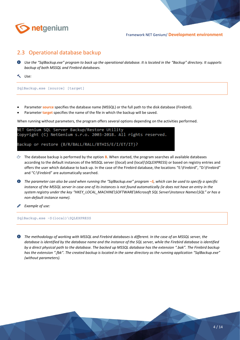

# <span id="page-3-0"></span>2.3 Operational database backup

- *Use the "SqlBackup.exe" program to back up the operational database. It is located in the "Backup" directory. It supports backup of both MSSQL and Firebird databases.*
- *Use:*

SqlBackup.exe [source] [target]

- Parameter **source** specifies the database name (MSSQL) or the full path to the disk database (Firebird).
- Parameter **target** specifies the name of the file in which the backup will be saved.

When running without parameters, the program offers several options depending on the activities performed.

```
NET Genium SQL Server Backup/Restore Utility
Copyright (C) NetGenium s.r.o. 2003-2018. All rights reserved.
Backup or restore (B/R/BALL/RALL/BTHIS/E/I/ET/IT)?
```
- The database backup is performed by the option **B**. When started, the program searches all available databases according to the default instances of the MSSQL server ((local) and (local)\SQLEXPRESS) or based on registry entries and offers the user which database to back up. In the case of the Firebird database, the locations "E:\Firebird", "D:\Firebird" and "C:\Firebird" are automatically searched.
- *The parameter can also be used when running the "SqlBackup.exe" program –S, which can be used to specify a specific instance of the MSSQL server in case one of its instances is not found automatically (ie does not have an entry in the system registry under the key "HKEY\_LOCAL\_MACHINE\SOFTWARE\Microsoft SQL Server\Instance Names\SQL" or has a non-default instance name).*
- *Example of use:*

SqlBackup.exe –S(local)\SQLEXPRESS

*The methodology of working with MSSQL and Firebird databases is different. In the case of an MSSQL server, the database is identified by the database name and the instance of the SQL server, while the Firebird database is identified by a direct physical path to the database. The backed up MSSQL database has the extension ".bak". The Firebird backup has the extension ".fbk". The created backup is located in the same directory as the running application "SqlBackup.exe" (without parameters).*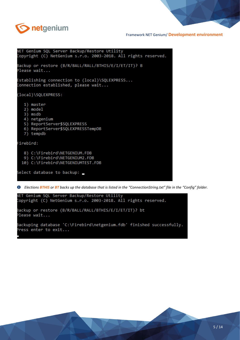

NET Genium SQL Server Backup/Restore Utility Copyright (C) NetGenium s.r.o. 2003-2018. All rights reserved. Backup or restore (B/R/BALL/RALL/BTHIS/E/I/ET/IT)? B Please wait... Establishing connection to (local)\SQLEXPRESS... Connection established, please wait... (local)\SQLEXPRESS: 1) master  $2)$  model  $3)$  msdb 4) netgenium 5) ReportServer\$SQLEXPRESS 6) ReportServer\$SQLEXPRESSTempDB 7) tempdb Firebird: 8) C:\Firebird\NETGENIUM.FDB 9) C:\Firebird\NETGENIUM2.FDB 10) C:\Firebird\NETGENIUMTEST.FDB Select database to backup:

*Elections BTHIS or BT backs up the database that is listed in the "ConnectionString.txt" file in the "Config" folder.*

```
VET Genium SQL Server Backup/Restore Utility
Copyright (C) NetGenium s.r.o. 2003-2018. All rights reserved.
Backup or restore (B/R/BALL/RALL/BTHIS/E/I/ET/IT)? bt
Please wait...
Backuping database 'C:\Firebird\netgenium.fdb' finished successfully.
Press enter to exit...
```
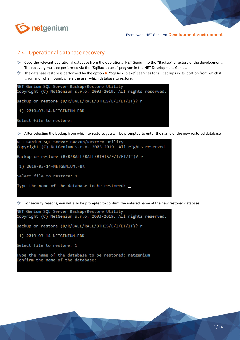

### <span id="page-5-0"></span>2.4 Operational database recovery

- Copy the relevant operational database from the operational NET Genium to the "Backup" directory of the development. The recovery must be performed via the "SqlBackup.exe" program in the NET Development Genius.
- The database restore is performed by the option **R**. "SqlBackup.exe" searches for all backups in its location from which it is run and, when found, offers the user which database to restore.

```
NET Genium SQL Server Backup/Restore Utility
Copyright (C) NetGenium s.r.o. 2003-2019. All rights reserved.
Backup or restore (B/R/BALL/RALL/BTHIS/E/I/ET/IT)? r
1) 2019-03-14-NETGENIUM.FBK
Select file to restore:
```
 $\Diamond$  After selecting the backup from which to restore, you will be prompted to enter the name of the new restored database.



For security reasons, you will also be prompted to confirm the entered name of the new restored database.

```
NET Genium SQL Server Backup/Restore Utility
Copyright (C) NetGenium s.r.o. 2003-2019. All rights reserved.
Backup or restore (B/R/BALL/RALL/BTHIS/E/I/ET/IT)? r
 1) 2019-03-14-NETGENIUM.FBK
Select file to restore: 1
Type the name of the database to be restored: netgenium
Confirm the name of the database:
```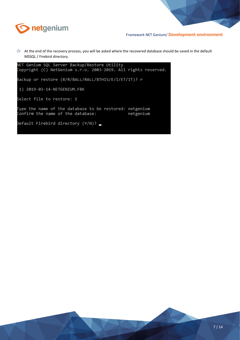

 $\Leftrightarrow$  At the end of the recovery process, you will be asked where the recovered database should be saved in the default MSSQL / Firebird directory.

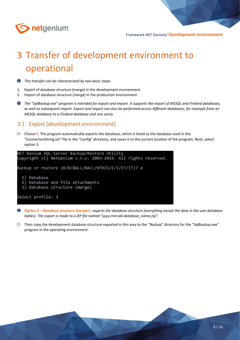

# <span id="page-7-0"></span>3 Transfer of development environment to operational

*This transfer can be characterized by two basic steps:*

- 1. Export of database structure (merge) in the development environment
- 2. Import of database structure (merge) in the production environment
- *The "SqlBackup.exe" program is intended for export and import. It supports the export of MSSQL and Firebird databases, as well as subsequent import. Export and import can also be performed across different databases, for example from an MSSQL database to a Firebird database and vice versa.*

### <span id="page-7-1"></span>3.1 Export (development environment)

Choice **E**. The program automatically exports the database, which is listed as the database used in the "ConnectionString.txt" file in the "Config" directory, and saves it to the current location of the program. Next, select option 3.



- *Option 3 – Database structure (merge) – exports the database structure (everything except the data in the user database tables). The export is made to a ZIP file named "yyyy-mm-dd-database\_name.zip".*
- $\circ$  Then copy the development database structure exported in this way to the "Backup" directory for the "SqlBackup.exe" program in the operating environment.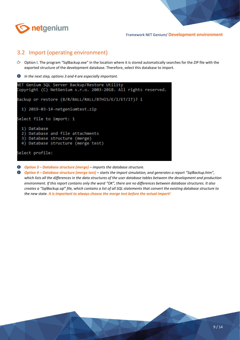

# <span id="page-8-0"></span>3.2 Import (operating environment)

- $\circledcirc$  Option I. The program "SqlBackup.exe" in the location where it is stored automatically searches for the ZIP file with the exported structure of the development database. Therefore, select this database to import.
- *In the next step, options 3 and 4 are especially important.*



- *Option 3 – Database structure (merge) – imports the database structure.*
- *Option 4 – Database structure (merge test) – starts the import simulation, and generates a report "SqlBackup.htm", which lists all the differences in the data structures of the user database tables between the development and production environment. If this report contains only the word "OK", there are no differences between database structures. It also creates a "SqlBackup.sql" file, which contains a list of all SQL statements that convert the existing database structure to the new state. It is important to always choose the merge test before the actual import!*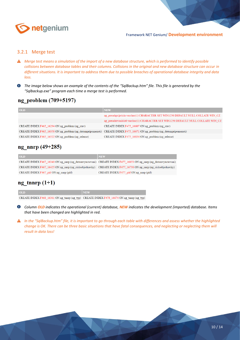

#### <span id="page-9-0"></span>3.2.1 Merge test

- *Merge test means a simulation of the import of a new database structure, which is performed to identify possible collisions between database tables and their columns. Collisions in the original and new database structure can occur in different situations. It is important to address them due to possible breaches of operational database integrity and data loss.*
- *The image below shows an example of the contents of the "SqlBackup.htm" file. This file is generated by the "Sqlbackup.exe" program each time a merge test is performed.*

# ng problem (709+5197)

| <b>OLD</b>                                         | <b>NEW</b>                                                                                                              |
|----------------------------------------------------|-------------------------------------------------------------------------------------------------------------------------|
|                                                    | ng presahprijetisla varchar(1) CHARACTER SET WIN1250 DEFAULT NULL COLLATE WIN CZ                                        |
|                                                    | ng presahtrvanisla0 varchar(1) CHARACTER SET WIN1250 DEFAULT NULL COLLATE WIN CZ                                        |
| CREATE INDEX F465 16294 ON ng problem (ng stav)    | CREATE INDEX F475 16607 ON ng problem (ng stav)                                                                         |
|                                                    | CREATE INDEX F465 16358 ON ng problem (ng datumpripomenuti) CREATE INDEX F475 16671 ON ng problem (ng datumpripomenuti) |
| CREATE INDEX F465 16522 ON ng problem (ng release) | CREATE INDEX F475 16834 ON ng problem (ng release)                                                                      |

#### ng nnrp  $(49+285)$

| <b>OLD</b>                                                                                                      | <b>NEW</b>                               |
|-----------------------------------------------------------------------------------------------------------------|------------------------------------------|
| CREATE INDEX F467 16340 ON ng nnrp (ng datumvyuctovani) CREATE INDEX F477 16653 ON ng nnrp (ng datumvyuctovani) |                                          |
| CREATE INDEX F467 16425 ON ng nnrp (ng cisloobjednavky) CREATE INDEX F477 16738 ON ng nnrp (ng cisloobjednavky) |                                          |
| CREATE INDEX $F467$ pid ON ng nnrp (pid)                                                                        | CREATE INDEX $F477$ pid ON ng nnrp (pid) |

## ng tnnrp  $(1+1)$

| <b>OLD</b>                                                                                | <b>NEW</b> |
|-------------------------------------------------------------------------------------------|------------|
| CREATE INDEX F468 16361 ON ng tnnrp (ng typ) CREATE INDEX F478 16674 ON ng tnnrp (ng typ) |            |

- *Column OLD indicates the operational (current) database, NEW indicates the development (imported) database. Items that have been changed are highlighted in red.*
- *In the "SqlBackup.htm" file, it is important to go through each table with differences and assess whether the highlighted change is OK. There can be three basic situations that have fatal consequences, and neglecting or neglecting them will result in data loss!*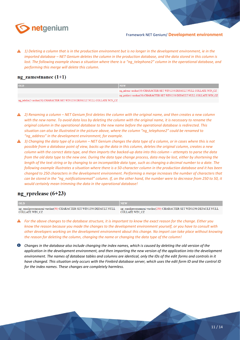

*1) Deleting a column that is in the production environment but is no longer in the development environment, ie in the imported database – NET Genium deletes the column in the production database, and the data stored in this column is lost. The following example shows a situation where there is a "ng\_telephone2" column in the operational database, and performing this merge will delete this column.*

#### ng zamestnanec  $(1+1)$

| <b>OLD</b>                                                                | <b>NEW</b>                                                               |
|---------------------------------------------------------------------------|--------------------------------------------------------------------------|
|                                                                           | ng adresa varchar(50) CHARACTER SET WIN1250 DEFAULT NULL COLLATE WIN CZ  |
|                                                                           | ng pohlavi varchar(50) CHARACTER SET WIN1250 DEFAULT NULL COLLATE WIN CZ |
| ng telefon2 varchar(50) CHARACTER SET WIN1250 DEFAULT NULL COLLATE WIN CZ |                                                                          |

**4** 2) Renaming a column – NET Genium first deletes the column with the original name, and then creates a new column *with the new name. To avoid data loss by deleting the column with the original name, it is necessary to rename the original column in the operational database to the new name before the operational database is redirected. This situation can also be illustrated in the picture above, where the column "ng\_telephone2" could be renamed to "ng\_address" in the development environment, for example.*

**4** *3) Changing the data type of a column – NET Genium changes the data type of a column, or in cases where this is not possible from a database point of view, backs up the data in this column, deletes the original column, creates a new column with the correct data type, and then imports the backed-up data into this column – attempts to parse the data from the old data type to the new one. During the data type change process, data may be lost, either by shortening the length of the text string or by changing to an incompatible data type, such as changing a decimal number to a date. The following example illustrates a situation where there is a 50-character column in the production database and it has been changed to 250 characters in the development environment. Performing a merge increases the number of characters that can be stored in the "ng\_notificationemail" column. If, on the other hand, the number were to decrease from 250 to 50, it would certainly mean trimming the data in the operational database!*

### ng rprelease  $(6+23)$

| <b>OLD</b>                                                         | <b>NEW</b>                                                          |
|--------------------------------------------------------------------|---------------------------------------------------------------------|
| ng emailprooznameni varchar(50) CHARACTER SET WIN1250 DEFAULT NULL | ng emailprooznameni varchar(250) CHARACTER SET WIN1250 DEFAULT NULL |
| COLLATE WIN CZ                                                     | COLLATE WIN CZ                                                      |

*For the above changes to the database structure, it is important to know the exact reason for the change. Either you know the reason because you made the changes to the development environment yourself, or you have to consult with other developers working on the development environment about this change. No import can take place without knowing the reason for deleting the column, changing the name or changing the data type of the column!*

*Changes in the database also include changing the index names, which is caused by deleting the old version of the application in the development environment, and then importing the new version of the application into the development environment. The names of database tables and columns are identical, only the IDs of the edit forms and controls in it have changed. This situation only occurs with the Firebird database server, which uses the edit form ID and the control ID for the index names. These changes are completely harmless.*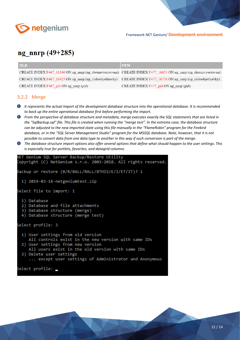

# ng nnrp  $(49+285)$

| <b>OLD</b>                                                                                                      | <b>NEW</b>                                                                                                      |
|-----------------------------------------------------------------------------------------------------------------|-----------------------------------------------------------------------------------------------------------------|
|                                                                                                                 | CREATE INDEX F467_16340 ON ng_nnrp (ng_datumvyuctovani) CREATE INDEX F477_16653 ON ng_nnrp (ng_datumvyuctovani) |
| CREATE INDEX F467_16425 ON ng_nnrp (ng_cisloobjednavky) CREATE INDEX F477_16738 ON ng_nnrp (ng_cisloobjednavky) |                                                                                                                 |
| CREATE INDEX F467 pid ON ng nnrp (pid)                                                                          | CREATE INDEX $F477$ pid ON ng mnrp (pid)                                                                        |

#### <span id="page-11-0"></span>3.2.2 Merge

- *It represents the actual import of the development database structure into the operational database. It is recommended to back up the entire operational database first before performing the import.*
- *From the perspective of database structure and metadata, merge executes exactly the SQL statements that are listed in the "SqlBackup.sql" file. This file is created when running the "merge test". In the extreme case, the database structure can be adjusted to the new imported state using this file manually in the "FlameRobin" program for the Firebird database, or in the "SQL Server Management Studio" program for the MSSQL database. Note, however, that it is not possible to convert data from one data type to another in this way if such conversion is part of the merge.*
- *The database structure import options also offer several options that define what should happen to the user settings. This is especially true for portlets, favorites, and datagrid columns.*

```
NET Genium SQL Server Backup/Restore Utility
Copyright (C) NetGenium s.r.o. 2003-2018. All rights reserved.
Backup or restore (B/R/BALL/RALL/BTHIS/E/I/ET/IT)? i
 1) 2019-03-14-netgeniumtest.zip
Select file to import: 1
 1) Database
  2) Database and file attachments
  3) Database structure (merge)
 4) Database structure (merge test)
Select profile: 3
 1) User settings from old version
    All controls exist in the new version with same IDs
  2) User settings from new version
    All users exist in the old version with same IDs
  3) Delete user settings
     ... except user settings of Administrator and Anonymous
Select profile: _
```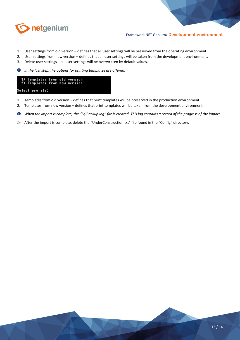

- 1. User settings from old version defines that all user settings will be preserved from the operating environment.
- 2. User settings from new version defines that all user settings will be taken from the development environment.
- 3. Delete user settings all user settings will be overwritten by default values.
- $\bullet$ *In the last step, the options for printing templates are offered:*

| 1) Templates from old version<br>2) Templates from new version |  |  |
|----------------------------------------------------------------|--|--|
| elect profile:                                                 |  |  |

- 1. Templates from old version defines that print templates will be preserved in the production environment.
- 2. Templates from new version defines that print templates will be taken from the development environment.
- $\bullet$ *When the import is complete, the "SqlBackup.log" file is created. This log contains a record of the progress of the import.*
- After the import is complete, delete the "UnderConstruction.txt" file found in the "Config" directory.